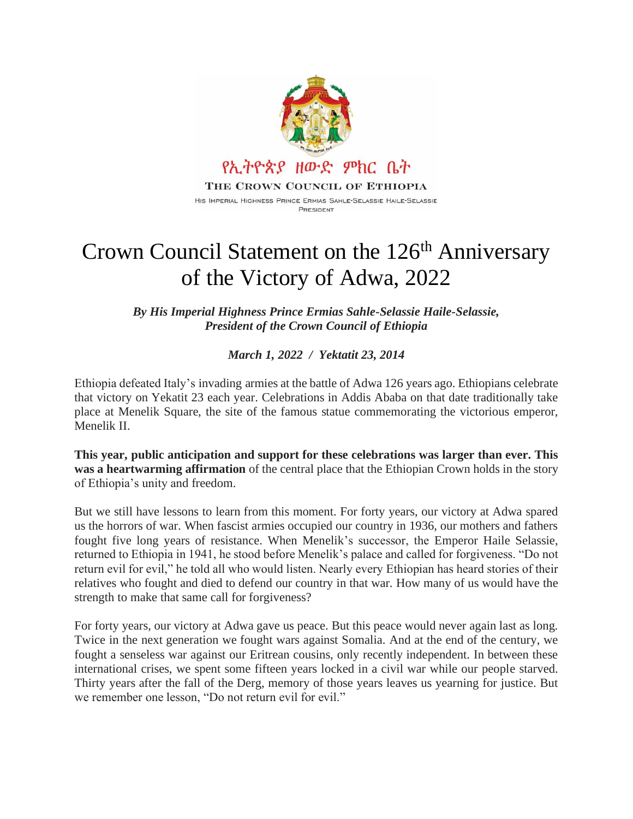

## Crown Council Statement on the 126<sup>th</sup> Anniversary of the Victory of Adwa, 2022

*By His Imperial Highness Prince Ermias Sahle-Selassie Haile-Selassie, President of the Crown Council of Ethiopia*

*March 1, 2022 / Yektatit 23, 2014*

Ethiopia defeated Italy's invading armies at the battle of Adwa 126 years ago. Ethiopians celebrate that victory on Yekatit 23 each year. Celebrations in Addis Ababa on that date traditionally take place at Menelik Square, the site of the famous statue commemorating the victorious emperor, Menelik II.

**This year, public anticipation and support for these celebrations was larger than ever. This was a heartwarming affirmation** of the central place that the Ethiopian Crown holds in the story of Ethiopia's unity and freedom.

But we still have lessons to learn from this moment. For forty years, our victory at Adwa spared us the horrors of war. When fascist armies occupied our country in 1936, our mothers and fathers fought five long years of resistance. When Menelik's successor, the Emperor Haile Selassie, returned to Ethiopia in 1941, he stood before Menelik's palace and called for forgiveness. "Do not return evil for evil," he told all who would listen. Nearly every Ethiopian has heard stories of their relatives who fought and died to defend our country in that war. How many of us would have the strength to make that same call for forgiveness?

For forty years, our victory at Adwa gave us peace. But this peace would never again last as long. Twice in the next generation we fought wars against Somalia. And at the end of the century, we fought a senseless war against our Eritrean cousins, only recently independent. In between these international crises, we spent some fifteen years locked in a civil war while our people starved. Thirty years after the fall of the Derg, memory of those years leaves us yearning for justice. But we remember one lesson, "Do not return evil for evil."